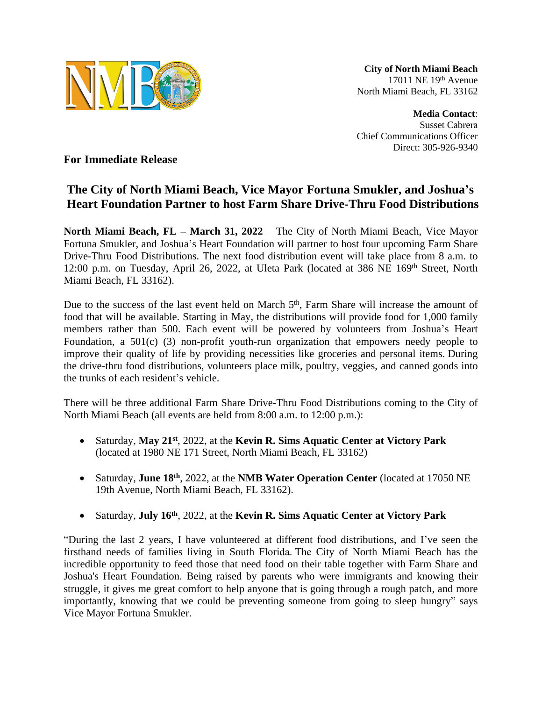

**City of North Miami Beach** 17011 NE 19th Avenue North Miami Beach, FL 33162

**Media Contact**: Susset Cabrera Chief Communications Officer Direct: 305-926-9340

**For Immediate Release**

## **The City of North Miami Beach, Vice Mayor Fortuna Smukler, and Joshua's Heart Foundation Partner to host Farm Share Drive-Thru Food Distributions**

**North Miami Beach, FL – March 31, 2022** – The City of North Miami Beach, Vice Mayor Fortuna Smukler, and Joshua's Heart Foundation will partner to host four upcoming Farm Share Drive-Thru Food Distributions. The next food distribution event will take place from 8 a.m. to 12:00 p.m. on Tuesday, April 26, 2022, at Uleta Park (located at 386 NE 169<sup>th</sup> Street, North Miami Beach, FL 33162).

Due to the success of the last event held on March 5<sup>th</sup>, Farm Share will increase the amount of food that will be available. Starting in May, the distributions will provide food for 1,000 family members rather than 500. Each event will be powered by volunteers from Joshua's Heart Foundation, a 501(c) (3) non-profit youth-run organization that empowers needy people to improve their quality of life by providing necessities like groceries and personal items. During the drive-thru food distributions, volunteers place milk, poultry, veggies, and canned goods into the trunks of each resident's vehicle.

There will be three additional Farm Share Drive-Thru Food Distributions coming to the City of North Miami Beach (all events are held from 8:00 a.m. to 12:00 p.m.):

- Saturday, **May 21st** , 2022, at the **Kevin R. Sims Aquatic Center at Victory Park** (located at 1980 NE 171 Street, North Miami Beach, FL 33162)
- Saturday, **June 18th** , 2022, at the **NMB Water Operation Center** (located at 17050 NE 19th Avenue, North Miami Beach, FL 33162).
- Saturday, **July 16th** , 2022, at the **Kevin R. Sims Aquatic Center at Victory Park**

"During the last 2 years, I have volunteered at different food distributions, and I've seen the firsthand needs of families living in South Florida. The City of North Miami Beach has the incredible opportunity to feed those that need food on their table together with Farm Share and Joshua's Heart Foundation. Being raised by parents who were immigrants and knowing their struggle, it gives me great comfort to help anyone that is going through a rough patch, and more importantly, knowing that we could be preventing someone from going to sleep hungry" says Vice Mayor Fortuna Smukler.